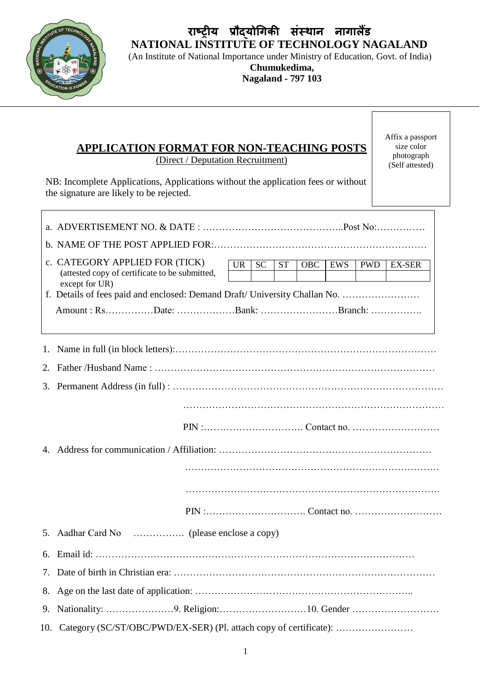

## **राष्ट्रीय प्रौद्योगिकी संस्थान नािालैंड NATIONAL INSTITUTE OF TECHNOLOGY NAGALAND**

(An Institute of National Importance under Ministry of Education, Govt. of India)

## **Chumukedima, Nagaland - 797 103**

## **APPLICATION FORMAT FOR NON-TEACHING POSTS** (Direct / Deputation Recruitment)

Affix a passport size color photograph (Self attested)

٦

NB: Incomplete Applications, Applications without the application fees or without the signature are likely to be rejected.

| c. CATEGORY APPLIED FOR (TICK)<br>(attested copy of certificate to be submitted,<br>except for UR)<br>f. Details of fees paid and enclosed: Demand Draft/ University Challan No. | $U\overline{R}$ | $\overline{SC}$<br>ST |  | $\overline{OBC}$ | <b>EWS</b> | <b>PWD</b> | <b>EX-SER</b> |
|----------------------------------------------------------------------------------------------------------------------------------------------------------------------------------|-----------------|-----------------------|--|------------------|------------|------------|---------------|
| Amount : RsDate: Bank: Branch:                                                                                                                                                   |                 |                       |  |                  |            |            |               |
|                                                                                                                                                                                  |                 |                       |  |                  |            |            |               |
|                                                                                                                                                                                  |                 |                       |  |                  |            |            |               |
|                                                                                                                                                                                  |                 |                       |  |                  |            |            |               |
|                                                                                                                                                                                  |                 |                       |  |                  |            |            |               |
|                                                                                                                                                                                  |                 |                       |  |                  |            |            |               |
|                                                                                                                                                                                  |                 |                       |  |                  |            |            |               |
|                                                                                                                                                                                  |                 |                       |  |                  |            |            |               |
|                                                                                                                                                                                  |                 |                       |  |                  |            |            |               |
|                                                                                                                                                                                  |                 |                       |  |                  |            |            |               |
|                                                                                                                                                                                  |                 |                       |  |                  |            |            |               |
| 10. Category (SC/ST/OBC/PWD/EX-SER) (Pl. attach copy of certificate):                                                                                                            |                 |                       |  |                  |            |            |               |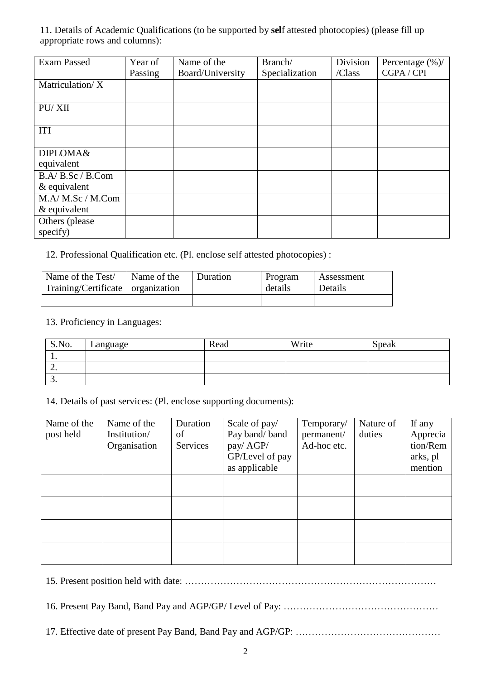11. Details of Academic Qualifications (to be supported by **sel**f attested photocopies) (please fill up appropriate rows and columns):

| <b>Exam Passed</b>               | Year of | Name of the      | Branch/        | Division | Percentage $(\%)/$ |
|----------------------------------|---------|------------------|----------------|----------|--------------------|
|                                  | Passing | Board/University | Specialization | /Class   | CGPA / CPI         |
| Matriculation/X                  |         |                  |                |          |                    |
| PU/XII                           |         |                  |                |          |                    |
| <b>ITI</b>                       |         |                  |                |          |                    |
| DIPLOMA&<br>equivalent           |         |                  |                |          |                    |
| B.A/B.Sc/B.Com<br>$&$ equivalent |         |                  |                |          |                    |
| M.A/M.Sc/M.Com<br>$&$ equivalent |         |                  |                |          |                    |
| Others (please)<br>specify)      |         |                  |                |          |                    |

12. Professional Qualification etc. (Pl. enclose self attested photocopies) :

| Name of the Test/                   | Name of the | <b>Duration</b> | Program | Assessment |
|-------------------------------------|-------------|-----------------|---------|------------|
| Training/Certificate   organization |             |                 | details | Details    |
|                                     |             |                 |         |            |

## 13. Proficiency in Languages:

| S.No.     | Language | Read | Write | Speak |
|-----------|----------|------|-------|-------|
| . .       |          |      |       |       |
| <u>L.</u> |          |      |       |       |
| ◡.        |          |      |       |       |

14. Details of past services: (Pl. enclose supporting documents):

| Name of the | Name of the  | Duration | Scale of pay/   | Temporary/  | Nature of | If any   |
|-------------|--------------|----------|-----------------|-------------|-----------|----------|
| post held   | Institution/ | of       | Pay band/band   | permanent/  | duties    | Apprecia |
|             | Organisation | Services | pay/ AGP/       | Ad-hoc etc. |           | tion/Rem |
|             |              |          | GP/Level of pay |             |           | arks, pl |
|             |              |          | as applicable   |             |           | mention  |
|             |              |          |                 |             |           |          |
|             |              |          |                 |             |           |          |
|             |              |          |                 |             |           |          |
|             |              |          |                 |             |           |          |
|             |              |          |                 |             |           |          |
|             |              |          |                 |             |           |          |
|             |              |          |                 |             |           |          |
|             |              |          |                 |             |           |          |

15. Present position held with date: ……………………………………………………………………

16. Present Pay Band, Band Pay and AGP/GP/ Level of Pay: …………………………………………

17. Effective date of present Pay Band, Band Pay and AGP/GP: ………………………………………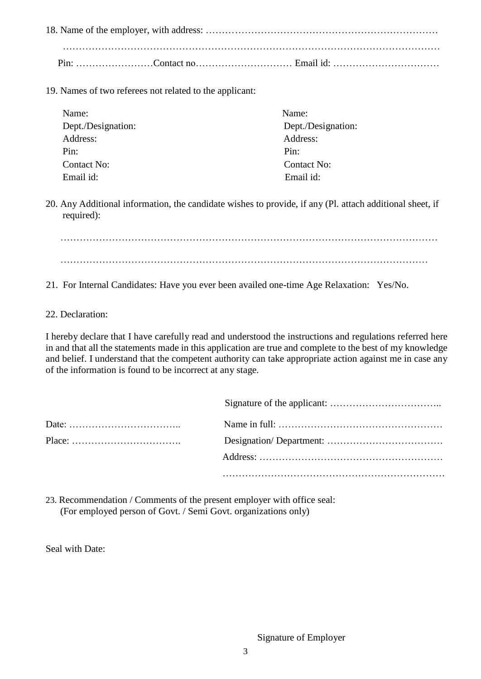18. Name of the employer, with address: ……………………………………………………………… ……………………………………………………………………………………………………… Pin: ……………………Contact no………………………… Email id: ……………………………

19. Names of two referees not related to the applicant:

| Name:              | Name:              |
|--------------------|--------------------|
| Dept./Designation: | Dept./Designation: |
| Address:           | Address:           |
| Pin:               | Pin:               |
| Contact No:        | Contact No:        |
| Email id:          | Email id:          |

20. Any Additional information, the candidate wishes to provide, if any (Pl. attach additional sheet, if required):

……………………………………………………………………………………………………… ……………………………………………………………………………………………………

- 21. For Internal Candidates: Have you ever been availed one-time Age Relaxation: Yes/No.
- 22. Declaration:

I hereby declare that I have carefully read and understood the instructions and regulations referred here in and that all the statements made in this application are true and complete to the best of my knowledge and belief. I understand that the competent authority can take appropriate action against me in case any of the information is found to be incorrect at any stage.

| $Place: \ldots \ldots \ldots \ldots \ldots \ldots \ldots \ldots \ldots$ |  |
|-------------------------------------------------------------------------|--|
|                                                                         |  |
|                                                                         |  |

23. Recommendation / Comments of the present employer with office seal: (For employed person of Govt. / Semi Govt. organizations only)

Seal with Date: